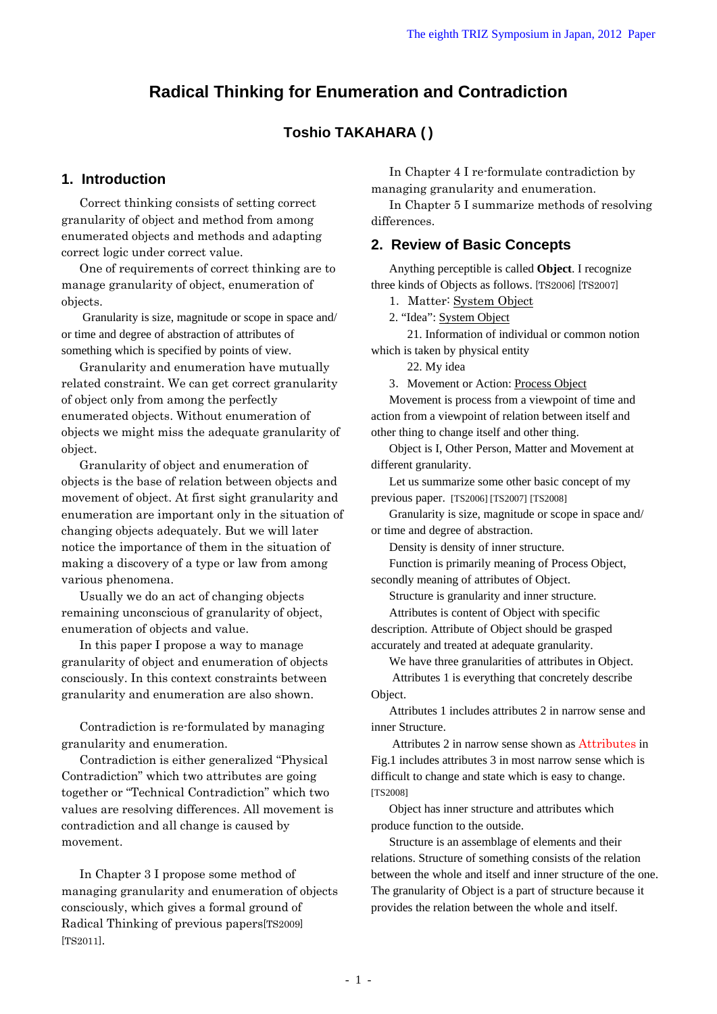# **Radical Thinking for Enumeration and Contradiction**

# **Toshio TAKAHARA ( )**

## **1. Introduction**

Correct thinking consists of setting correct granularity of object and method from among enumerated objects and methods and adapting correct logic under correct value.

One of requirements of correct thinking are to manage granularity of object, enumeration of objects.

 Granularity is size, magnitude or scope in space and/ or time and degree of abstraction of attributes of something which is specified by points of view.

Granularity and enumeration have mutually related constraint. We can get correct granularity of object only from among the perfectly enumerated objects. Without enumeration of objects we might miss the adequate granularity of object.

Granularity of object and enumeration of objects is the base of relation between objects and movement of object. At first sight granularity and enumeration are important only in the situation of changing objects adequately. But we will later notice the importance of them in the situation of making a discovery of a type or law from among various phenomena.

Usually we do an act of changing objects remaining unconscious of granularity of object, enumeration of objects and value.

In this paper I propose a way to manage granularity of object and enumeration of objects consciously. In this context constraints between granularity and enumeration are also shown.

Contradiction is re-formulated by managing granularity and enumeration.

Contradiction is either generalized "Physical Contradiction" which two attributes are going together or "Technical Contradiction" which two values are resolving differences. All movement is contradiction and all change is caused by movement.

In Chapter 3 I propose some method of managing granularity and enumeration of objects consciously, which gives a formal ground of Radical Thinking of previous papers[TS2009] [TS2011].

In Chapter 4 I re-formulate contradiction by managing granularity and enumeration.

In Chapter 5 I summarize methods of resolving differences.

## **2. Review of Basic Concepts**

Anything perceptible is called **Object**. I recognize three kinds of Objects as follows. [TS2006] [TS2007]

1.Matter: System Object

2. "Idea": System Object

21. Information of individual or common notion which is taken by physical entity

22. My idea

3.Movement or Action: Process Object

Movement is process from a viewpoint of time and action from a viewpoint of relation between itself and other thing to change itself and other thing.

Object is I, Other Person, Matter and Movement at different granularity.

Let us summarize some other basic concept of my previous paper. [TS2006] [TS2007] [TS2008]

Granularity is size, magnitude or scope in space and/ or time and degree of abstraction.

Density is density of inner structure.

Function is primarily meaning of Process Object,

secondly meaning of attributes of Object.

Structure is granularity and inner structure.

Attributes is content of Object with specific description. Attribute of Object should be grasped accurately and treated at adequate granularity.

We have three granularities of attributes in Object.

 Attributes 1 is everything that concretely describe Object.

Attributes 1 includes attributes 2 in narrow sense and inner Structure.

 Attributes 2 in narrow sense shown as Attributes in Fig.1 includes attributes 3 in most narrow sense which is difficult to change and state which is easy to change. [TS2008]

Object has inner structure and attributes which produce function to the outside.

Structure is an assemblage of elements and their relations. Structure of something consists of the relation between the whole and itself and inner structure of the one. The granularity of Object is a part of structure because it provides the relation between the whole and itself.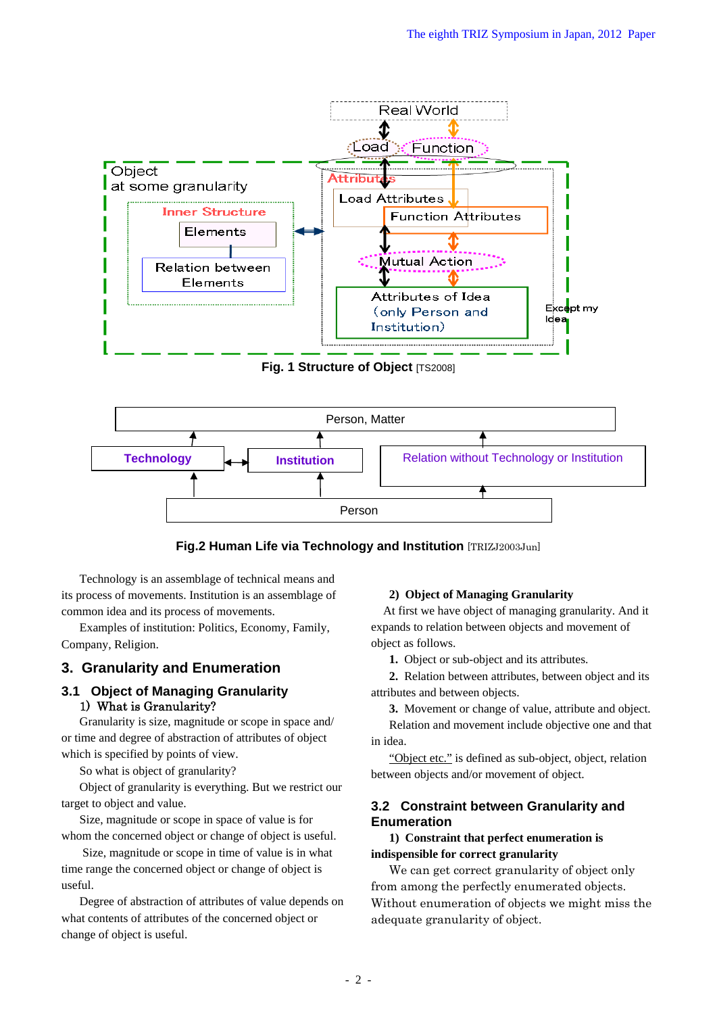

**Fig. 1 Structure of Object [TS2008]** 



**Fig.2 Human Life via Technology and Institution** [TRIZJ2003Jun]

Technology is an assemblage of technical means and its process of movements. Institution is an assemblage of common idea and its process of movements.

Examples of institution: Politics, Economy, Family, Company, Religion.

# **3. Granularity and Enumeration**

## **3.1 Object of Managing Granularity**  1) What is Granularity?

Granularity is size, magnitude or scope in space and/ or time and degree of abstraction of attributes of object which is specified by points of view.

So what is object of granularity?

Object of granularity is everything. But we restrict our target to object and value.

Size, magnitude or scope in space of value is for whom the concerned object or change of object is useful.

 Size, magnitude or scope in time of value is in what time range the concerned object or change of object is useful.

Degree of abstraction of attributes of value depends on what contents of attributes of the concerned object or change of object is useful.

## **2) Object of Managing Granularity**

At first we have object of managing granularity. And it expands to relation between objects and movement of object as follows.

**1.** Object or sub-object and its attributes.

**2.** Relation between attributes, between object and its attributes and between objects.

**3.** Movement or change of value, attribute and object.

Relation and movement include objective one and that in idea.

"Object etc." is defined as sub-object, object, relation between objects and/or movement of object.

## **3.2 Constraint between Granularity and Enumeration**

**1) Constraint that perfect enumeration is indispensible for correct granularity** 

We can get correct granularity of object only from among the perfectly enumerated objects. Without enumeration of objects we might miss the adequate granularity of object.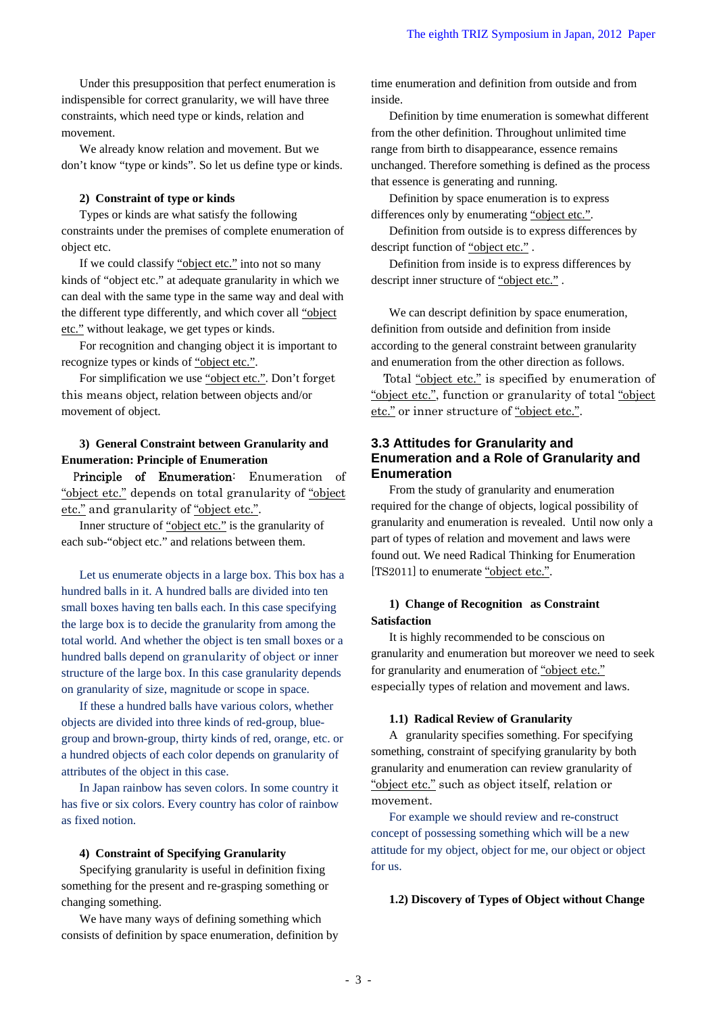Under this presupposition that perfect enumeration is indispensible for correct granularity, we will have three constraints, which need type or kinds, relation and movement.

We already know relation and movement. But we don't know "type or kinds". So let us define type or kinds.

#### **2) Constraint of type or kinds**

Types or kinds are what satisfy the following constraints under the premises of complete enumeration of object etc.

If we could classify "object etc." into not so many kinds of "object etc." at adequate granularity in which we can deal with the same type in the same way and deal with the different type differently, and which cover all "object etc." without leakage, we get types or kinds.

For recognition and changing object it is important to recognize types or kinds of "object etc.".

For simplification we use "object etc.". Don't forget this means object, relation between objects and/or movement of object.

### **3) General Constraint between Granularity and Enumeration: Principle of Enumeration**

Principle of Enumeration: Enumeration of "object etc." depends on total granularity of "object" etc." and granularity of "object etc.".

Inner structure of "object etc." is the granularity of each sub-"object etc." and relations between them.

Let us enumerate objects in a large box. This box has a hundred balls in it. A hundred balls are divided into ten small boxes having ten balls each. In this case specifying the large box is to decide the granularity from among the total world. And whether the object is ten small boxes or a hundred balls depend on granularity of object or inner structure of the large box. In this case granularity depends on granularity of size, magnitude or scope in space.

If these a hundred balls have various colors, whether objects are divided into three kinds of red-group, bluegroup and brown-group, thirty kinds of red, orange, etc. or a hundred objects of each color depends on granularity of attributes of the object in this case.

In Japan rainbow has seven colors. In some country it has five or six colors. Every country has color of rainbow as fixed notion.

#### **4) Constraint of Specifying Granularity**

Specifying granularity is useful in definition fixing something for the present and re-grasping something or changing something.

We have many ways of defining something which consists of definition by space enumeration, definition by time enumeration and definition from outside and from inside.

Definition by time enumeration is somewhat different from the other definition. Throughout unlimited time range from birth to disappearance, essence remains unchanged. Therefore something is defined as the process that essence is generating and running.

Definition by space enumeration is to express differences only by enumerating "object etc.".

Definition from outside is to express differences by descript function of "object etc.".

Definition from inside is to express differences by descript inner structure of "object etc." .

We can descript definition by space enumeration, definition from outside and definition from inside according to the general constraint between granularity and enumeration from the other direction as follows.

Total "object etc." is specified by enumeration of "object etc.", function or granularity of total "object etc." or inner structure of "object etc.".

## **3.3 Attitudes for Granularity and Enumeration and a Role of Granularity and Enumeration**

From the study of granularity and enumeration required for the change of objects, logical possibility of granularity and enumeration is revealed. Until now only a part of types of relation and movement and laws were found out. We need Radical Thinking for Enumeration [TS2011] to enumerate "object etc.".

### **1) Change of Recognition as Constraint Satisfaction**

It is highly recommended to be conscious on granularity and enumeration but moreover we need to seek for granularity and enumeration of "object etc." especially types of relation and movement and laws.

#### **1.1) Radical Review of Granularity**

A granularity specifies something. For specifying something, constraint of specifying granularity by both granularity and enumeration can review granularity of "object etc." such as object itself, relation or movement.

For example we should review and re-construct concept of possessing something which will be a new attitude for my object, object for me, our object or object for us.

#### **1.2) Discovery of Types of Object without Change**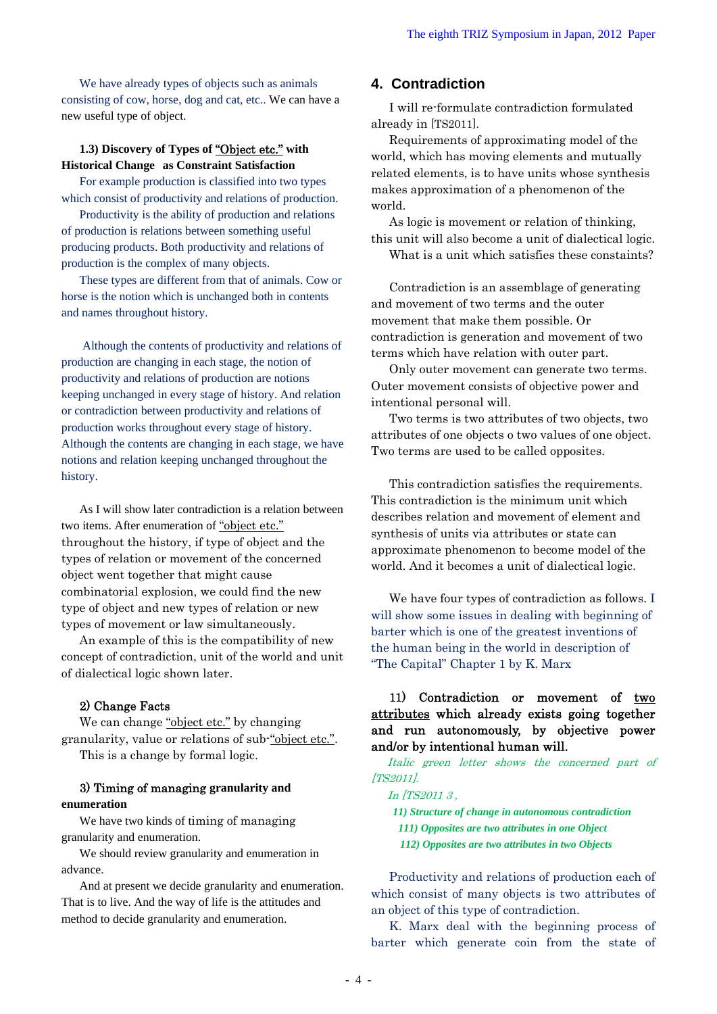We have already types of objects such as animals consisting of cow, horse, dog and cat, etc.. We can have a new useful type of object.

### **1.3) Discovery of Types of** "Object etc." **with Historical Change as Constraint Satisfaction**

For example production is classified into two types which consist of productivity and relations of production.

Productivity is the ability of production and relations of production is relations between something useful producing products. Both productivity and relations of production is the complex of many objects.

These types are different from that of animals. Cow or horse is the notion which is unchanged both in contents and names throughout history.

 Although the contents of productivity and relations of production are changing in each stage, the notion of productivity and relations of production are notions keeping unchanged in every stage of history. And relation or contradiction between productivity and relations of production works throughout every stage of history. Although the contents are changing in each stage, we have notions and relation keeping unchanged throughout the history.

As I will show later contradiction is a relation between two items. After enumeration of "object etc." throughout the history, if type of object and the types of relation or movement of the concerned object went together that might cause combinatorial explosion, we could find the new type of object and new types of relation or new types of movement or law simultaneously.

An example of this is the compatibility of new concept of contradiction, unit of the world and unit of dialectical logic shown later.

### 2) Change Facts

We can change "object etc." by changing granularity, value or relations of sub-"object etc.". This is a change by formal logic.

### 3) Timing of managing **granularity and enumeration**

We have two kinds of timing of managing granularity and enumeration.

We should review granularity and enumeration in advance.

And at present we decide granularity and enumeration. That is to live. And the way of life is the attitudes and method to decide granularity and enumeration.

## **4. Contradiction**

I will re-formulate contradiction formulated already in [TS2011].

Requirements of approximating model of the world, which has moving elements and mutually related elements, is to have units whose synthesis makes approximation of a phenomenon of the world.

As logic is movement or relation of thinking, this unit will also become a unit of dialectical logic. What is a unit which satisfies these constaints?

Contradiction is an assemblage of generating and movement of two terms and the outer movement that make them possible. Or contradiction is generation and movement of two terms which have relation with outer part.

Only outer movement can generate two terms. Outer movement consists of objective power and intentional personal will.

Two terms is two attributes of two objects, two attributes of one objects o two values of one object. Two terms are used to be called opposites.

This contradiction satisfies the requirements. This contradiction is the minimum unit which describes relation and movement of element and synthesis of units via attributes or state can approximate phenomenon to become model of the world. And it becomes a unit of dialectical logic.

We have four types of contradiction as follows. I will show some issues in dealing with beginning of barter which is one of the greatest inventions of the human being in the world in description of "The Capital" Chapter 1 by K. Marx

## 11) Contradiction or movement of two attributes which already exists going together and run autonomously, by objective power and/or by intentional human will.

Italic green letter shows the concerned part of [TS2011].

In [TS2011 3 ,

- *11) Structure of change in autonomous contradiction*
- *111) Opposites are two attributes in one Object*
- *112) Opposites are two attributes in two Objects*

Productivity and relations of production each of which consist of many objects is two attributes of an object of this type of contradiction.

K. Marx deal with the beginning process of barter which generate coin from the state of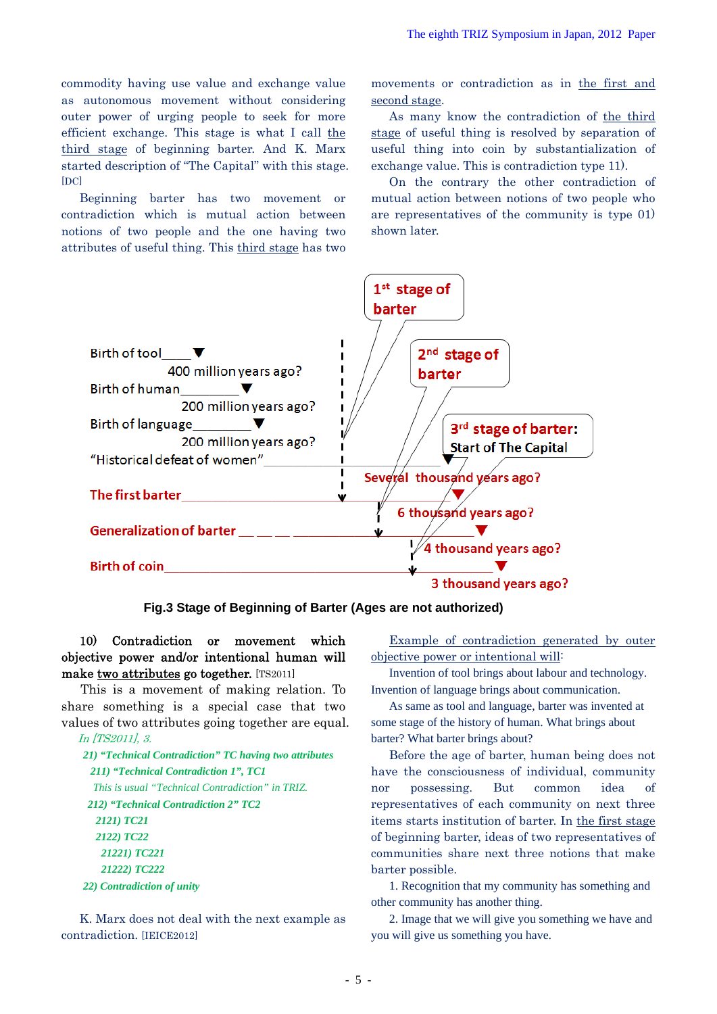commodity having use value and exchange value as autonomous movement without considering outer power of urging people to seek for more efficient exchange. This stage is what I call the third stage of beginning barter. And K. Marx started description of "The Capital" with this stage. [DC]

Beginning barter has two movement or contradiction which is mutual action between notions of two people and the one having two attributes of useful thing. This third stage has two movements or contradiction as in the first and second stage.

As many know the contradiction of the third stage of useful thing is resolved by separation of useful thing into coin by substantialization of exchange value. This is contradiction type 11).

On the contrary the other contradiction of mutual action between notions of two people who are representatives of the community is type 01) shown later.



**Fig.3 Stage of Beginning of Barter (Ages are not authorized)** 

## 10) Contradiction or movement which objective power and/or intentional human will make two attributes go together. [TS2011]

This is a movement of making relation. To Invention of language brings about communication. share something is a special case that two values of two attributes going together are equal.

*21) "Technical Contradiction" TC having two attributes 211) "Technical Contradiction 1", TC1 This is usual "Technical Contradiction" in TRIZ. 212) "Technical Contradiction 2" TC2 2121) TC21 2122) TC22 21221) TC221 21222) TC222 22) Contradiction of unity*

K. Marx does not deal with the next example as contradiction. [IEICE2012]

Example of contradiction generated by outer objective power or intentional will:

Invention of tool brings about labour and technology.

As same as tool and language, barter was invented at some stage of the history of human. What brings about In [TS2011], 3. barter? What barter brings about?

> Before the age of barter, human being does not have the consciousness of individual, community nor possessing. But common idea of representatives of each community on next three items starts institution of barter. In the first stage of beginning barter, ideas of two representatives of communities share next three notions that make barter possible.

1. Recognition that my community has something and other community has another thing.

2. Image that we will give you something we have and you will give us something you have.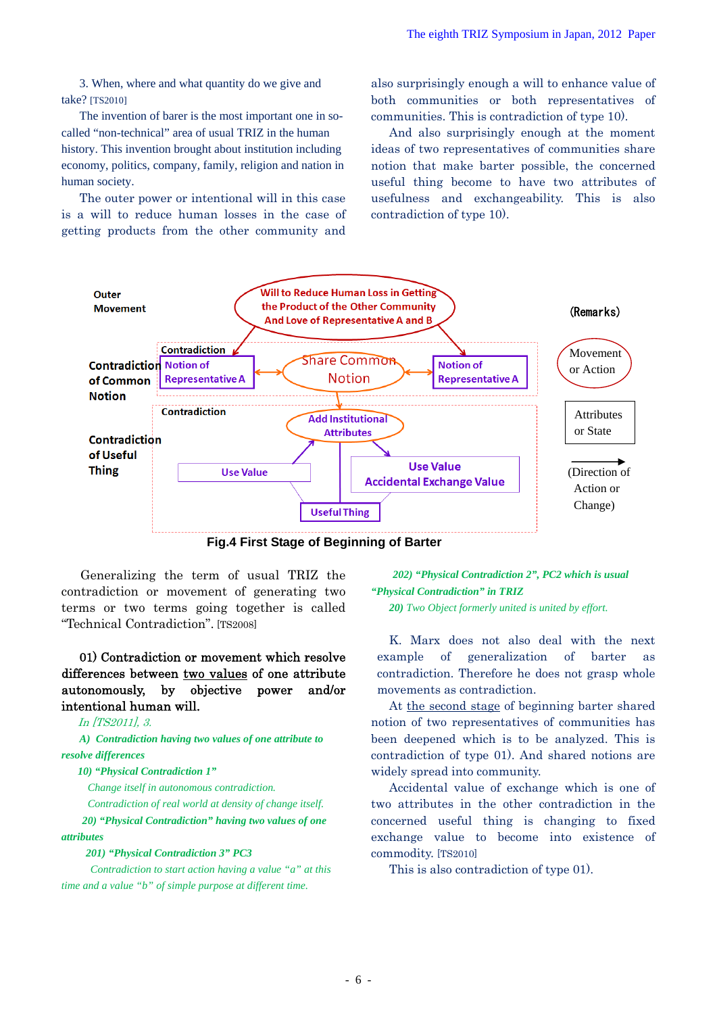3. When, where and what quantity do we give and take? [TS2010]

The invention of barer is the most important one in socalled "non-technical" area of usual TRIZ in the human history. This invention brought about institution including economy, politics, company, family, religion and nation in human society.

The outer power or intentional will in this case is a will to reduce human losses in the case of getting products from the other community and also surprisingly enough a will to enhance value of both communities or both representatives of communities. This is contradiction of type 10).

And also surprisingly enough at the moment ideas of two representatives of communities share notion that make barter possible, the concerned useful thing become to have two attributes of usefulness and exchangeability. This is also contradiction of type 10).



**Fig.4 First Stage of Beginning of Barter** 

Generalizing the term of usual TRIZ the contradiction or movement of generating two terms or two terms going together is called "Technical Contradiction". [TS2008]

01) Contradiction or movement which resolve differences between two values of one attribute autonomously, by objective power and/or intentional human will.

### In [TS2011], 3.

*A) Contradiction having two values of one attribute to resolve differences* 

#### *10) "Physical Contradiction 1"*

 *Change itself in autonomous contradiction.* 

 *Contradiction of real world at density of change itself.* 

 *20) "Physical Contradiction" having two values of one attributes* 

#### *201) "Physical Contradiction 3" PC3*

 *Contradiction to start action having a value "a" at this time and a value "b" of simple purpose at different time.* 

*202) "Physical Contradiction 2", PC2 which is usual "Physical Contradiction" in TRIZ 20) Two Object formerly united is united by effort.*

K. Marx does not also deal with the next example of generalization of barter as contradiction. Therefore he does not grasp whole movements as contradiction.

At the second stage of beginning barter shared notion of two representatives of communities has been deepened which is to be analyzed. This is contradiction of type 01). And shared notions are widely spread into community.

Accidental value of exchange which is one of two attributes in the other contradiction in the concerned useful thing is changing to fixed exchange value to become into existence of commodity. [TS2010]

This is also contradiction of type 01).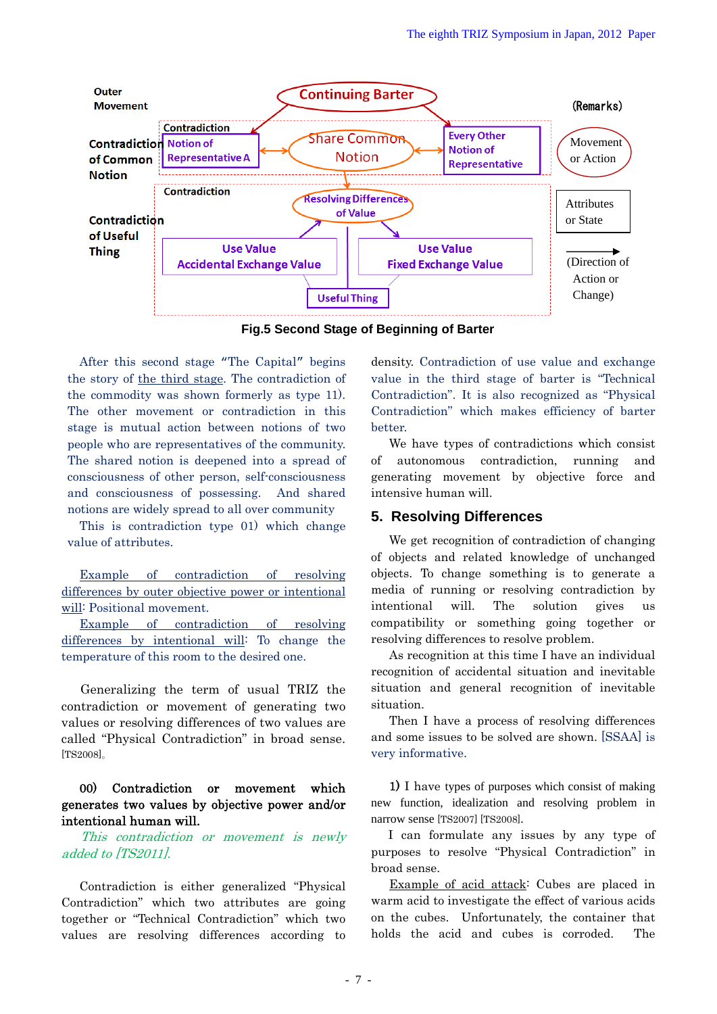

**Fig.5 Second Stage of Beginning of Barter** 

After this second stage "The Capital" begins the story of the third stage. The contradiction of the commodity was shown formerly as type 11). The other movement or contradiction in this stage is mutual action between notions of two people who are representatives of the community. The shared notion is deepened into a spread of consciousness of other person, self-consciousness and consciousness of possessing. And shared notions are widely spread to all over community

This is contradiction type 01) which change value of attributes.

Example of contradiction of resolving differences by outer objective power or intentional will: Positional movement.

Example of contradiction of resolving differences by intentional will: To change the temperature of this room to the desired one.

Generalizing the term of usual TRIZ the contradiction or movement of generating two values or resolving differences of two values are called "Physical Contradiction" in broad sense. [TS2008]。

## 00) Contradiction or movement which generates two values by objective power and/or intentional human will.

This contradiction or movement is newly added to [TS2011].

Contradiction is either generalized "Physical Contradiction" which two attributes are going together or "Technical Contradiction" which two values are resolving differences according to

density. Contradiction of use value and exchange value in the third stage of barter is "Technical Contradiction". It is also recognized as "Physical Contradiction" which makes efficiency of barter better.

We have types of contradictions which consist of autonomous contradiction, running and generating movement by objective force and intensive human will.

## **5. Resolving Differences**

We get recognition of contradiction of changing of objects and related knowledge of unchanged objects. To change something is to generate a media of running or resolving contradiction by intentional will. The solution gives us compatibility or something going together or resolving differences to resolve problem.

As recognition at this time I have an individual recognition of accidental situation and inevitable situation and general recognition of inevitable situation.

Then I have a process of resolving differences and some issues to be solved are shown. [SSAA] is very informative.

1) I have types of purposes which consist of making new function, idealization and resolving problem in narrow sense [TS2007] [TS2008].

I can formulate any issues by any type of purposes to resolve "Physical Contradiction" in broad sense.

Example of acid attack: Cubes are placed in warm acid to investigate the effect of various acids on the cubes. Unfortunately, the container that holds the acid and cubes is corroded. The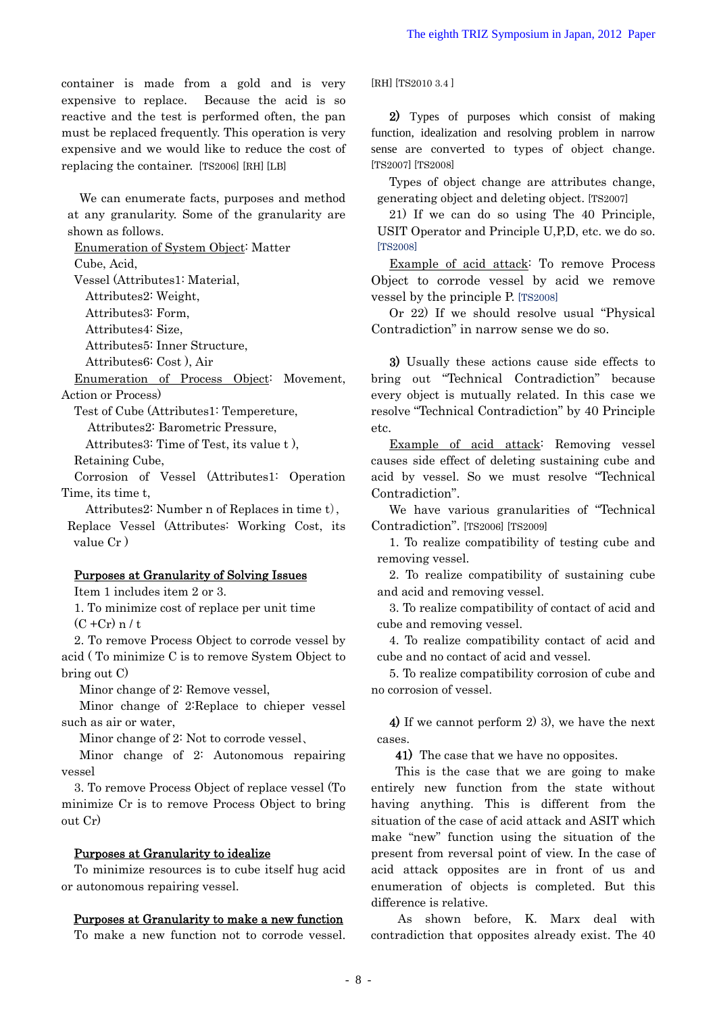container is made from a gold and is very expensive to replace. Because the acid is so reactive and the test is performed often, the pan must be replaced frequently. This operation is very expensive and we would like to reduce the cost of replacing the container. [TS2006] [RH] [LB]

We can enumerate facts, purposes and method at any granularity. Some of the granularity are shown as follows.

Enumeration of System Object: Matter

Cube, Acid,

Vessel (Attributes1: Material,

Attributes2: Weight,

Attributes3: Form,

Attributes4: Size,

Attributes5: Inner Structure,

Attributes6: Cost ), Air

Enumeration of Process Object: Movement, Action or Process)

Test of Cube (Attributes1: Tempereture,

Attributes2: Barometric Pressure,

Attributes3: Time of Test, its value t ),

Retaining Cube,

Corrosion of Vessel (Attributes1: Operation Time, its time t,

Attributes2: Number n of Replaces in time t),

Replace Vessel (Attributes: Working Cost, its value Cr )

### Purposes at Granularity of Solving Issues

Item 1 includes item 2 or 3.

1. To minimize cost of replace per unit time  $(C + Cr) n / t$ 

2. To remove Process Object to corrode vessel by acid ( To minimize C is to remove System Object to bring out C)

Minor change of 2: Remove vessel,

Minor change of 2:Replace to chieper vessel such as air or water,

Minor change of 2: Not to corrode vessel、

Minor change of 2: Autonomous repairing vessel

3. To remove Process Object of replace vessel (To minimize Cr is to remove Process Object to bring out Cr)

#### Purposes at Granularity to idealize

To minimize resources is to cube itself hug acid or autonomous repairing vessel.

### Purposes at Granularity to make a new function

To make a new function not to corrode vessel.

[RH] [TS2010 3.4 ]

2) Types of purposes which consist of making function, idealization and resolving problem in narrow sense are converted to types of object change. [TS2007] [TS2008]

Types of object change are attributes change, generating object and deleting object. [TS2007]

21) If we can do so using The 40 Principle, USIT Operator and Principle U,P,D, etc. we do so. [TS2008]

Example of acid attack: To remove Process Object to corrode vessel by acid we remove vessel by the principle P. [TS2008]

Or 22) If we should resolve usual "Physical Contradiction" in narrow sense we do so.

3) Usually these actions cause side effects to bring out "Technical Contradiction" because every object is mutually related. In this case we resolve "Technical Contradiction" by 40 Principle etc.

Example of acid attack: Removing vessel causes side effect of deleting sustaining cube and acid by vessel. So we must resolve "Technical Contradiction".

We have various granularities of "Technical Contradiction". [TS2006] [TS2009]

1. To realize compatibility of testing cube and removing vessel.

2. To realize compatibility of sustaining cube and acid and removing vessel.

3. To realize compatibility of contact of acid and cube and removing vessel.

4. To realize compatibility contact of acid and cube and no contact of acid and vessel.

5. To realize compatibility corrosion of cube and no corrosion of vessel.

4) If we cannot perform 2) 3), we have the next cases.

41) The case that we have no opposites.

This is the case that we are going to make entirely new function from the state without having anything. This is different from the situation of the case of acid attack and ASIT which make "new" function using the situation of the present from reversal point of view. In the case of acid attack opposites are in front of us and enumeration of objects is completed. But this difference is relative.

 As shown before, K. Marx deal with contradiction that opposites already exist. The 40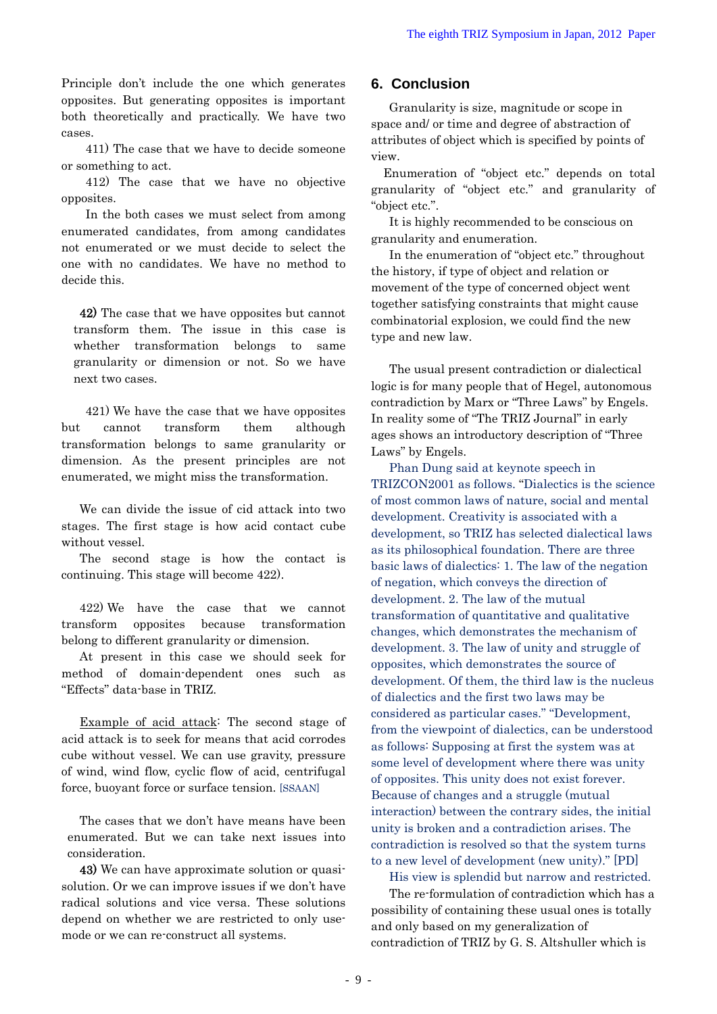Principle don't include the one which generates opposites. But generating opposites is important both theoretically and practically. We have two cases.

411) The case that we have to decide someone view.<br>or something to act.

412) The case that we have no objective opposites.

In the both cases we must select from among enumerated candidates, from among candidates not enumerated or we must decide to select the one with no candidates. We have no method to decide this.

42) The case that we have opposites but cannot transform them. The issue in this case is whether transformation belongs to same granularity or dimension or not. So we have next two cases.

421) We have the case that we have opposites but cannot transform them although transformation belongs to same granularity or dimension. As the present principles are not enumerated, we might miss the transformation. Phan Dung said at keynote speech in

We can divide the issue of cid attack into two stages. The first stage is how acid contact cube without vessel.

The second stage is how the contact is continuing. This stage will become 422).

422) We have the case that we cannot transform opposites because transformation belong to different granularity or dimension.

At present in this case we should seek for method of domain-dependent ones such as "Effects" data-base in TRIZ.

Example of acid attack: The second stage of acid attack is to seek for means that acid corrodes cube without vessel. We can use gravity, pressure of wind, wind flow, cyclic flow of acid, centrifugal force, buoyant force or surface tension. [SSAAN]

The cases that we don't have means have been enumerated. But we can take next issues into consideration.

43) We can have approximate solution or quasisolution. Or we can improve issues if we don't have radical solutions and vice versa. These solutions depend on whether we are restricted to only usemode or we can re-construct all systems.

## **6. Conclusion**

Granularity is size, magnitude or scope in space and/ or time and degree of abstraction of attributes of object which is specified by points of

Enumeration of "object etc." depends on total granularity of "object etc." and granularity of "object etc.".

It is highly recommended to be conscious on granularity and enumeration.

In the enumeration of "object etc." throughout the history, if type of object and relation or movement of the type of concerned object went together satisfying constraints that might cause combinatorial explosion, we could find the new type and new law.

The usual present contradiction or dialectical logic is for many people that of Hegel, autonomous contradiction by Marx or "Three Laws" by Engels. In reality some of "The TRIZ Journal" in early ages shows an introductory description of "Three Laws" by Engels.

TRIZCON2001 as follows. "Dialectics is the science of most common laws of nature, social and mental development. Creativity is associated with a development, so TRIZ has selected dialectical laws as its philosophical foundation. There are three basic laws of dialectics: 1. The law of the negation of negation, which conveys the direction of development. 2. The law of the mutual transformation of quantitative and qualitative changes, which demonstrates the mechanism of development. 3. The law of unity and struggle of opposites, which demonstrates the source of development. Of them, the third law is the nucleus of dialectics and the first two laws may be considered as particular cases." "Development, from the viewpoint of dialectics, can be understood as follows: Supposing at first the system was at some level of development where there was unity of opposites. This unity does not exist forever. Because of changes and a struggle (mutual interaction) between the contrary sides, the initial unity is broken and a contradiction arises. The contradiction is resolved so that the system turns to a new level of development (new unity)." [PD]

His view is splendid but narrow and restricted.

The re-formulation of contradiction which has a possibility of containing these usual ones is totally and only based on my generalization of contradiction of TRIZ by G. S. Altshuller which is